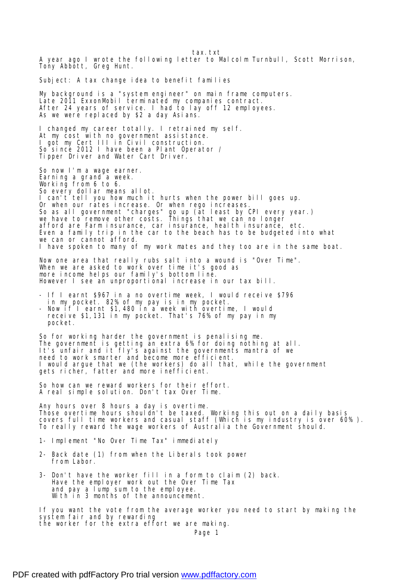tax.txt A year ago I wrote the following letter to Malcolm Turnbull, Scott Morrison, Tony Abbott, Greg Hunt. Subject: A tax change idea to benefit families My background is a "system engineer" on main frame computers. Late 2011 ExxonMobil terminated my companies contract. After 24 years of service. I had to lay off 12 employees. As we were replaced by \$2 a day Asians. I changed my career totally. I retrained my self. At my cost with no government assistance. I got my Cert III in Civil construction. So since 2012 I have been a Plant Operator / Tipper Driver and Water Cart Driver. So now I'm a wage earner. Earning a grand a week. Working from 6 to 6. So every dollar means allot. I can't tell you how much it hurts when the power bill goes up. Or when our rates increase. Or when rego increases. So as all government "charges" go up (at least by CPI every year.) we have to remove other costs. Things that we can no longer afford are Farm insurance, car insurance, health insurance, etc. Even a family trip in the car to the beach has to be budgeted into what we can or cannot afford. I have spoken to many of my work mates and they too are in the same boat. Now one area that really rubs salt into a wound is "Over Time". When we are asked to work over time it's good as more income helps our family's bottom line. However I see an unproportional increase in our tax bill. - If I earnt \$967 in a no overtime week, I would receive \$796 in my pocket. 82% of my pay is in my pocket. - Now if I earnt \$1,480 in a week with overtime, I would receive \$1,131 in my pocket. That's 76% of my pay in my pocket. So for working harder the government is penalising me. The government is getting an extra 6% for doing nothing at all. It's unfair and it fly's against the governments mantra of we need to work smarter and become more efficient. I would argue that we (the workers) do all that, while the government gets richer, fatter and more inefficient. So how can we reward workers for their effort. A real simple solution. Don't tax Over Time. Any hours over 8 hours a day is overtime. Those overtime hours shouldn't be taxed. Working this out on a daily basis covers full time workers and casual staff (Which is my industry is over 60% ). To really reward the wage workers of Australia the Government should. 1- Implement "No Over Time Tax" immediately 2- Back date (1) from when the Liberals took power from Labor. 3- Don't have the worker fill in a form to claim (2) back. Have the employer work out the Over Time Tax and pay a lump sum to the employee. With in 3 months of the announcement. If you want the vote from the average worker you need to start by making the system fair and by rewarding

the worker for the extra effort we are making.

Page 1